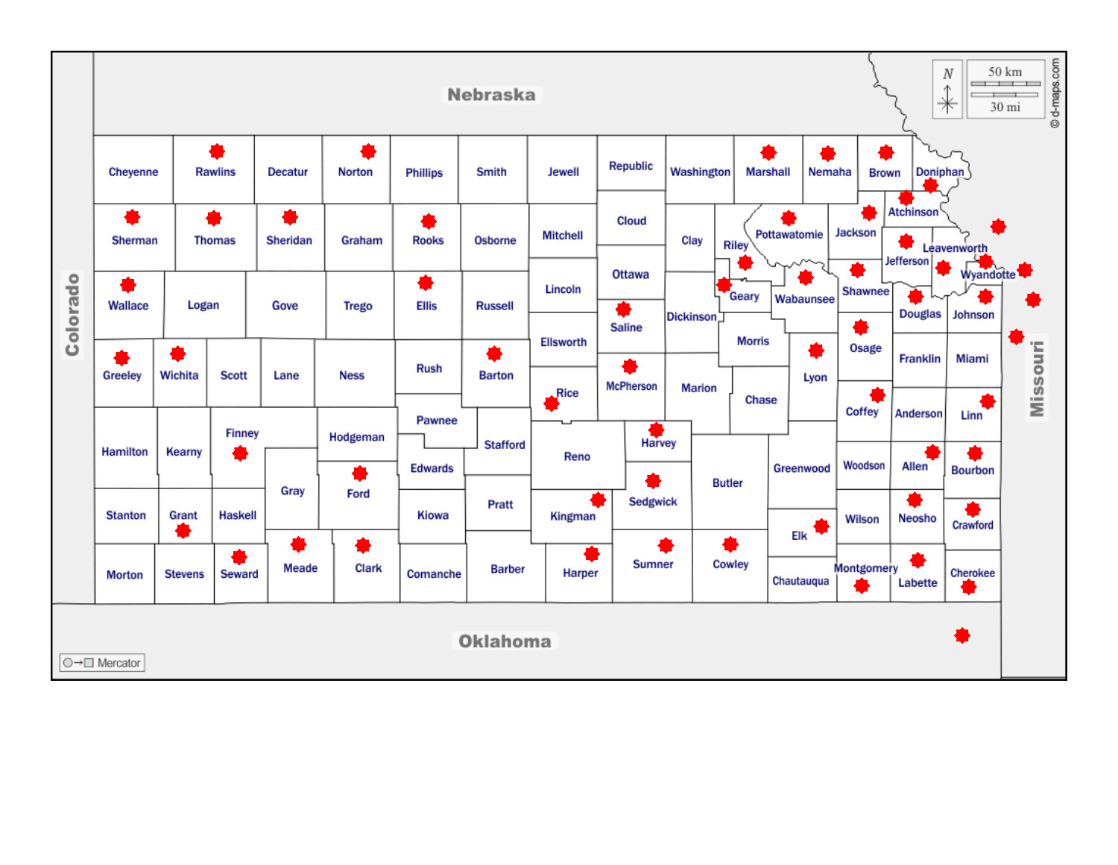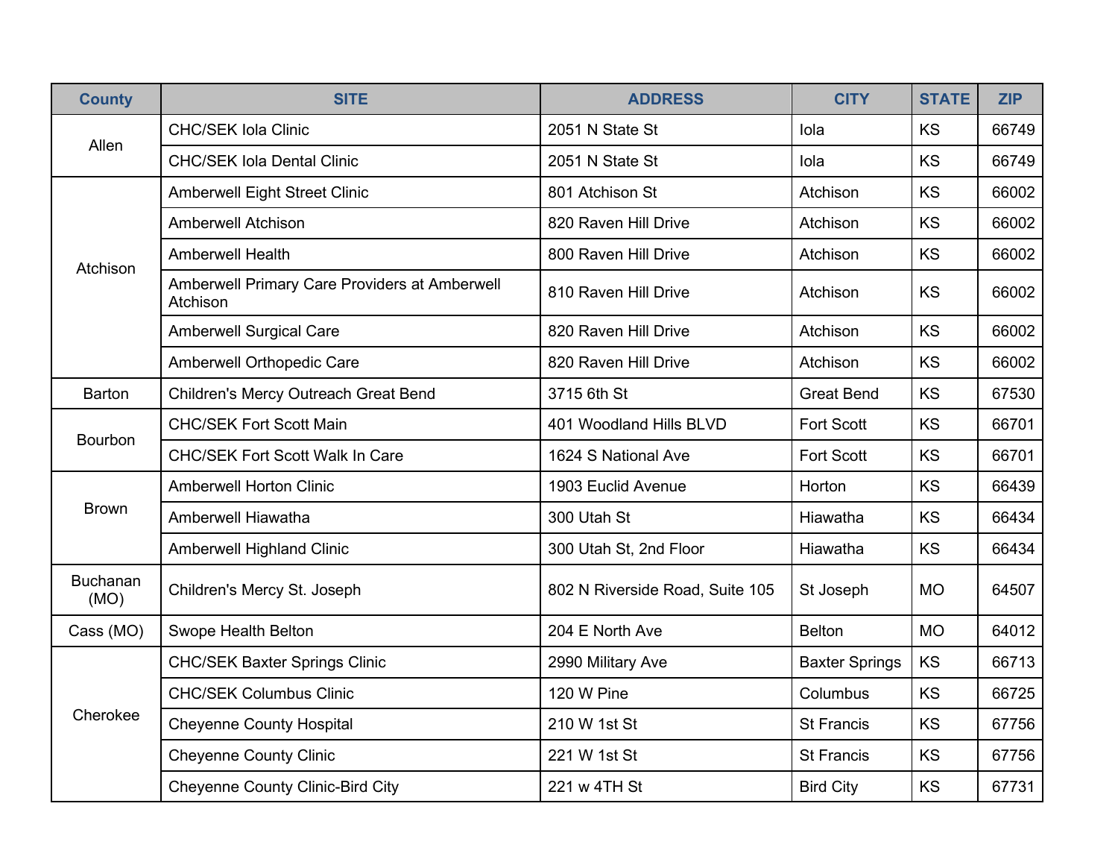| <b>County</b>           | <b>SITE</b>                                               | <b>ADDRESS</b>                  | <b>CITY</b>           | <b>STATE</b> | <b>ZIP</b> |
|-------------------------|-----------------------------------------------------------|---------------------------------|-----------------------|--------------|------------|
|                         | <b>CHC/SEK Iola Clinic</b>                                | 2051 N State St                 | lola                  | <b>KS</b>    | 66749      |
| Allen                   | <b>CHC/SEK Iola Dental Clinic</b>                         | 2051 N State St                 | lola                  | KS           | 66749      |
|                         | <b>Amberwell Eight Street Clinic</b>                      | 801 Atchison St                 | Atchison              | KS           | 66002      |
|                         | <b>Amberwell Atchison</b>                                 | 820 Raven Hill Drive            | Atchison              | KS           | 66002      |
| Atchison                | <b>Amberwell Health</b>                                   | 800 Raven Hill Drive            | Atchison              | KS           | 66002      |
|                         | Amberwell Primary Care Providers at Amberwell<br>Atchison | 810 Raven Hill Drive            | Atchison              | <b>KS</b>    | 66002      |
|                         | <b>Amberwell Surgical Care</b>                            | 820 Raven Hill Drive            | Atchison              | KS           | 66002      |
|                         | Amberwell Orthopedic Care                                 | 820 Raven Hill Drive            | Atchison              | KS           | 66002      |
| <b>Barton</b>           | Children's Mercy Outreach Great Bend                      | 3715 6th St                     | <b>Great Bend</b>     | KS           | 67530      |
| Bourbon                 | <b>CHC/SEK Fort Scott Main</b>                            | 401 Woodland Hills BLVD         | <b>Fort Scott</b>     | KS           | 66701      |
|                         | <b>CHC/SEK Fort Scott Walk In Care</b>                    | 1624 S National Ave             | <b>Fort Scott</b>     | KS           | 66701      |
|                         | <b>Amberwell Horton Clinic</b>                            | 1903 Euclid Avenue              | Horton                | KS           | 66439      |
| <b>Brown</b>            | Amberwell Hiawatha                                        | 300 Utah St                     | Hiawatha              | KS           | 66434      |
|                         | <b>Amberwell Highland Clinic</b>                          | 300 Utah St, 2nd Floor          | Hiawatha              | KS           | 66434      |
| <b>Buchanan</b><br>(MO) | Children's Mercy St. Joseph                               | 802 N Riverside Road, Suite 105 | St Joseph             | <b>MO</b>    | 64507      |
| Cass (MO)               | Swope Health Belton                                       | 204 E North Ave                 | <b>Belton</b>         | <b>MO</b>    | 64012      |
|                         | <b>CHC/SEK Baxter Springs Clinic</b>                      | 2990 Military Ave               | <b>Baxter Springs</b> | KS           | 66713      |
|                         | <b>CHC/SEK Columbus Clinic</b>                            | 120 W Pine                      | Columbus              | KS           | 66725      |
| Cherokee                | <b>Cheyenne County Hospital</b>                           | 210 W 1st St                    | <b>St Francis</b>     | <b>KS</b>    | 67756      |
|                         | <b>Cheyenne County Clinic</b>                             | 221 W 1st St                    | <b>St Francis</b>     | <b>KS</b>    | 67756      |
|                         | <b>Cheyenne County Clinic-Bird City</b>                   | 221 w 4TH St                    | <b>Bird City</b>      | KS           | 67731      |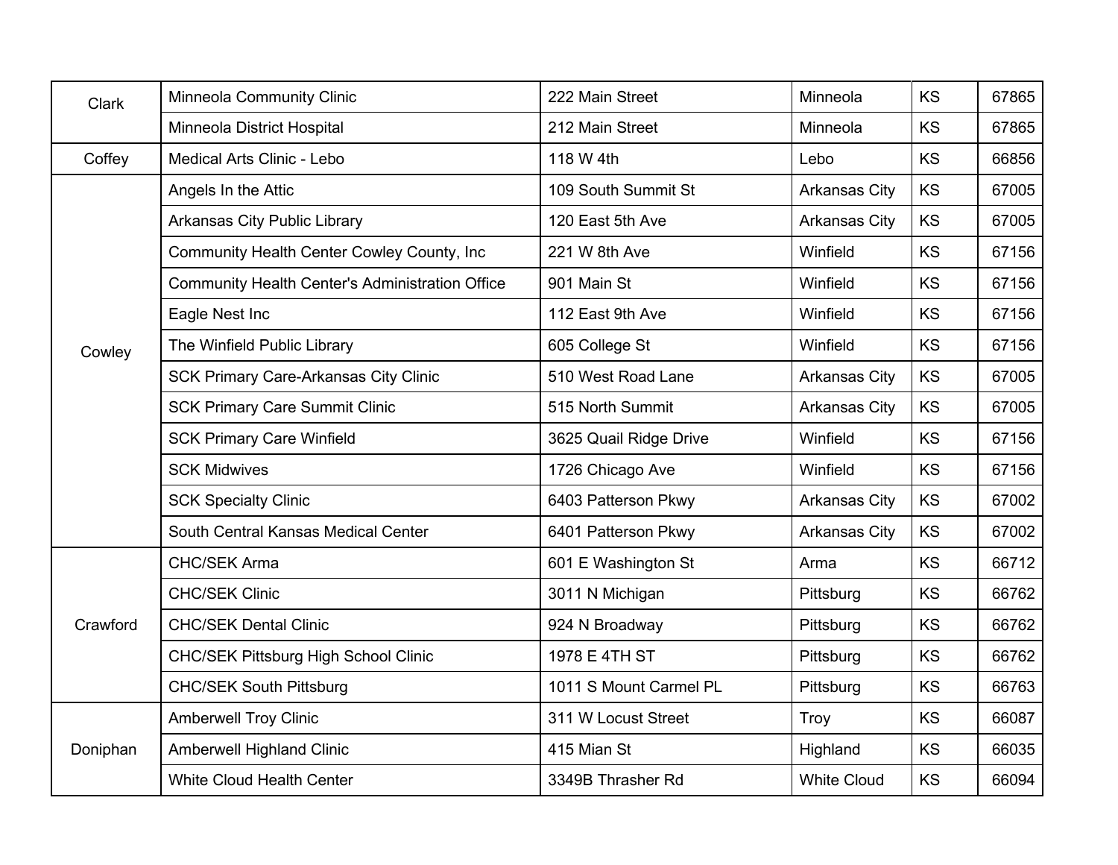| Clark    | <b>Minneola Community Clinic</b>                       | 222 Main Street        | Minneola             | KS        | 67865 |
|----------|--------------------------------------------------------|------------------------|----------------------|-----------|-------|
|          | Minneola District Hospital                             | 212 Main Street        | Minneola             | <b>KS</b> | 67865 |
| Coffey   | Medical Arts Clinic - Lebo                             | 118 W 4th              | Lebo                 | <b>KS</b> | 66856 |
|          | Angels In the Attic                                    | 109 South Summit St    | <b>Arkansas City</b> | KS        | 67005 |
|          | <b>Arkansas City Public Library</b>                    | 120 East 5th Ave       | <b>Arkansas City</b> | KS        | 67005 |
|          | Community Health Center Cowley County, Inc             | 221 W 8th Ave          | Winfield             | <b>KS</b> | 67156 |
|          | <b>Community Health Center's Administration Office</b> | 901 Main St            | Winfield             | <b>KS</b> | 67156 |
|          | Eagle Nest Inc                                         | 112 East 9th Ave       | Winfield             | <b>KS</b> | 67156 |
| Cowley   | The Winfield Public Library                            | 605 College St         | Winfield             | <b>KS</b> | 67156 |
|          | <b>SCK Primary Care-Arkansas City Clinic</b>           | 510 West Road Lane     | <b>Arkansas City</b> | <b>KS</b> | 67005 |
|          | <b>SCK Primary Care Summit Clinic</b>                  | 515 North Summit       | <b>Arkansas City</b> | KS        | 67005 |
|          | <b>SCK Primary Care Winfield</b>                       | 3625 Quail Ridge Drive | Winfield             | <b>KS</b> | 67156 |
|          | <b>SCK Midwives</b>                                    | 1726 Chicago Ave       | Winfield             | <b>KS</b> | 67156 |
|          | <b>SCK Specialty Clinic</b>                            | 6403 Patterson Pkwy    | <b>Arkansas City</b> | <b>KS</b> | 67002 |
|          | South Central Kansas Medical Center                    | 6401 Patterson Pkwy    | <b>Arkansas City</b> | KS        | 67002 |
|          | <b>CHC/SEK Arma</b>                                    | 601 E Washington St    | Arma                 | <b>KS</b> | 66712 |
|          | <b>CHC/SEK Clinic</b>                                  | 3011 N Michigan        | Pittsburg            | <b>KS</b> | 66762 |
| Crawford | <b>CHC/SEK Dental Clinic</b>                           | 924 N Broadway         | Pittsburg            | KS        | 66762 |
|          | <b>CHC/SEK Pittsburg High School Clinic</b>            | 1978 E 4TH ST          | Pittsburg            | <b>KS</b> | 66762 |
|          | <b>CHC/SEK South Pittsburg</b>                         | 1011 S Mount Carmel PL | Pittsburg            | KS        | 66763 |
|          | <b>Amberwell Troy Clinic</b>                           | 311 W Locust Street    | Troy                 | <b>KS</b> | 66087 |
| Doniphan | Amberwell Highland Clinic                              | 415 Mian St            | Highland             | KS        | 66035 |
|          | <b>White Cloud Health Center</b>                       | 3349B Thrasher Rd      | <b>White Cloud</b>   | KS        | 66094 |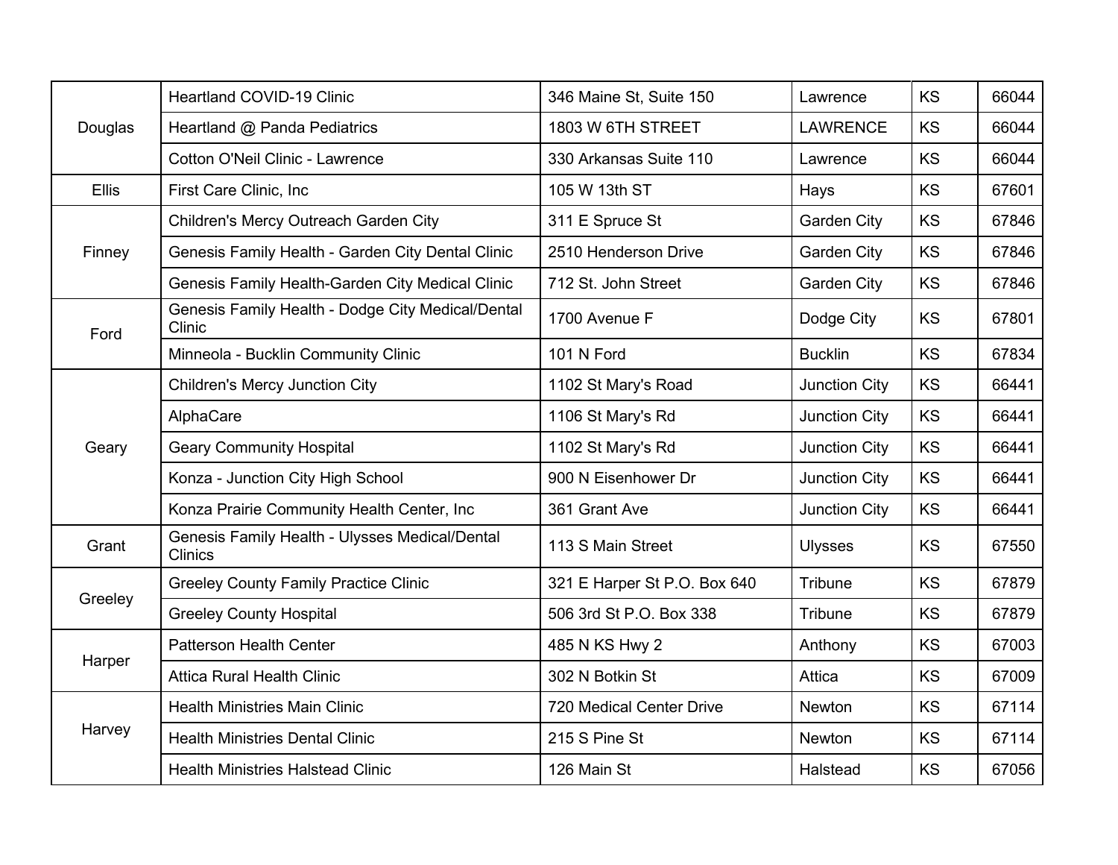|              | <b>Heartland COVID-19 Clinic</b>                                 | 346 Maine St, Suite 150      | Lawrence             | <b>KS</b> | 66044 |
|--------------|------------------------------------------------------------------|------------------------------|----------------------|-----------|-------|
| Douglas      | Heartland @ Panda Pediatrics                                     | 1803 W 6TH STREET            | <b>LAWRENCE</b>      | <b>KS</b> | 66044 |
|              | <b>Cotton O'Neil Clinic - Lawrence</b>                           | 330 Arkansas Suite 110       | Lawrence             | KS        | 66044 |
| <b>Ellis</b> | First Care Clinic, Inc                                           | 105 W 13th ST                | Hays                 | KS        | 67601 |
|              | Children's Mercy Outreach Garden City                            | 311 E Spruce St              | Garden City          | KS        | 67846 |
| Finney       | Genesis Family Health - Garden City Dental Clinic                | 2510 Henderson Drive         | <b>Garden City</b>   | KS        | 67846 |
|              | Genesis Family Health-Garden City Medical Clinic                 | 712 St. John Street          | <b>Garden City</b>   | <b>KS</b> | 67846 |
| Ford         | Genesis Family Health - Dodge City Medical/Dental<br>Clinic      | 1700 Avenue F                | Dodge City           | KS        | 67801 |
|              | Minneola - Bucklin Community Clinic                              | 101 N Ford                   | <b>Bucklin</b>       | KS        | 67834 |
|              | <b>Children's Mercy Junction City</b>                            | 1102 St Mary's Road          | Junction City        | KS        | 66441 |
|              | AlphaCare                                                        | 1106 St Mary's Rd            | Junction City        | KS        | 66441 |
| Geary        | <b>Geary Community Hospital</b>                                  | 1102 St Mary's Rd            | <b>Junction City</b> | KS        | 66441 |
|              | Konza - Junction City High School                                | 900 N Eisenhower Dr          | Junction City        | <b>KS</b> | 66441 |
|              | Konza Prairie Community Health Center, Inc                       | 361 Grant Ave                | Junction City        | <b>KS</b> | 66441 |
| Grant        | Genesis Family Health - Ulysses Medical/Dental<br><b>Clinics</b> | 113 S Main Street            | <b>Ulysses</b>       | <b>KS</b> | 67550 |
| Greeley      | <b>Greeley County Family Practice Clinic</b>                     | 321 E Harper St P.O. Box 640 | Tribune              | KS        | 67879 |
|              | <b>Greeley County Hospital</b>                                   | 506 3rd St P.O. Box 338      | <b>Tribune</b>       | <b>KS</b> | 67879 |
|              | <b>Patterson Health Center</b>                                   | 485 N KS Hwy 2               | Anthony              | <b>KS</b> | 67003 |
| Harper       | <b>Attica Rural Health Clinic</b>                                | 302 N Botkin St              | Attica               | KS        | 67009 |
|              | <b>Health Ministries Main Clinic</b>                             | 720 Medical Center Drive     | <b>Newton</b>        | KS        | 67114 |
| Harvey       | <b>Health Ministries Dental Clinic</b>                           | 215 S Pine St                | Newton               | KS        | 67114 |
|              | <b>Health Ministries Halstead Clinic</b>                         | 126 Main St                  | Halstead             | KS        | 67056 |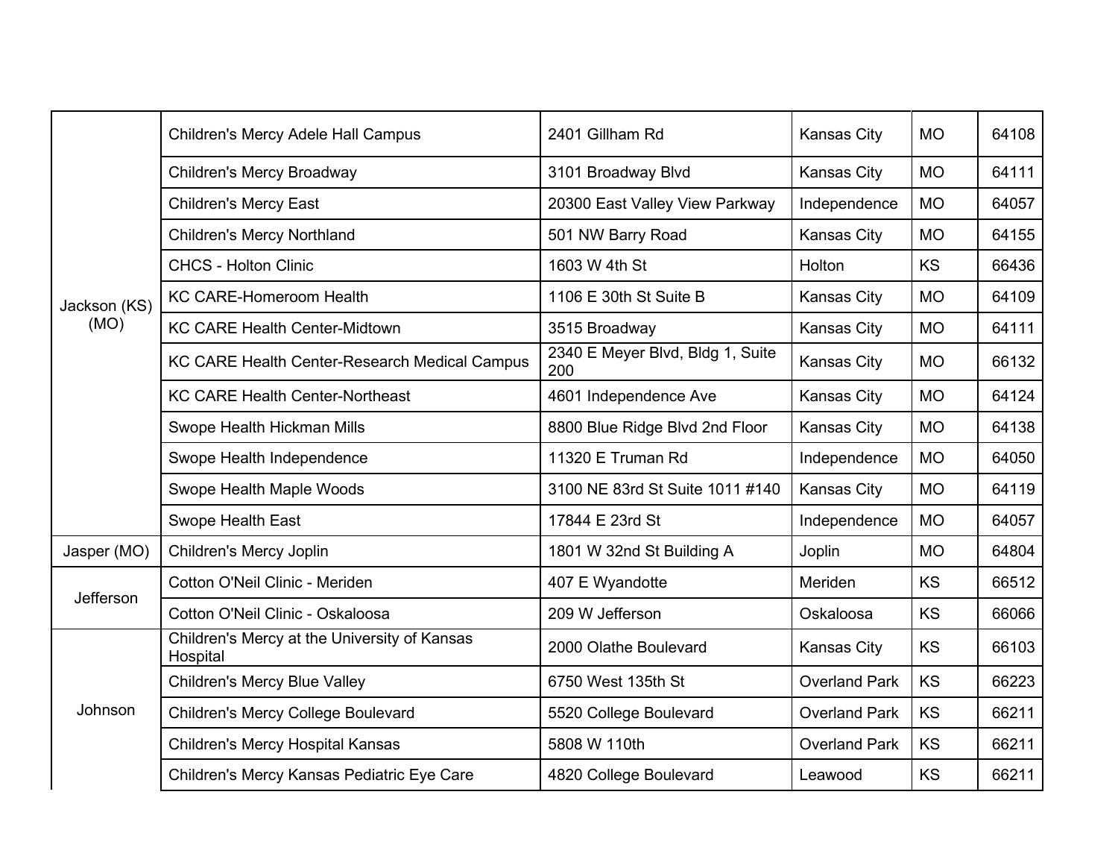|              | Children's Mercy Adele Hall Campus                       | 2401 Gillham Rd                         | Kansas City          | <b>MO</b> | 64108 |
|--------------|----------------------------------------------------------|-----------------------------------------|----------------------|-----------|-------|
|              | Children's Mercy Broadway                                | 3101 Broadway Blvd                      | <b>Kansas City</b>   | <b>MO</b> | 64111 |
|              | <b>Children's Mercy East</b>                             | 20300 East Valley View Parkway          | Independence         | <b>MO</b> | 64057 |
|              | <b>Children's Mercy Northland</b>                        | 501 NW Barry Road                       | <b>Kansas City</b>   | <b>MO</b> | 64155 |
|              | <b>CHCS - Holton Clinic</b>                              | 1603 W 4th St                           | Holton               | <b>KS</b> | 66436 |
| Jackson (KS) | KC CARE-Homeroom Health                                  | 1106 E 30th St Suite B                  | Kansas City          | <b>MO</b> | 64109 |
| (MO)         | <b>KC CARE Health Center-Midtown</b>                     | 3515 Broadway                           | <b>Kansas City</b>   | <b>MO</b> | 64111 |
|              | KC CARE Health Center-Research Medical Campus            | 2340 E Meyer Blvd, Bldg 1, Suite<br>200 | <b>Kansas City</b>   | <b>MO</b> | 66132 |
|              | <b>KC CARE Health Center-Northeast</b>                   | 4601 Independence Ave                   | Kansas City          | <b>MO</b> | 64124 |
|              | Swope Health Hickman Mills                               | 8800 Blue Ridge Blvd 2nd Floor          | <b>Kansas City</b>   | <b>MO</b> | 64138 |
|              | Swope Health Independence                                | 11320 E Truman Rd                       | Independence         | <b>MO</b> | 64050 |
|              | Swope Health Maple Woods                                 | 3100 NE 83rd St Suite 1011 #140         | <b>Kansas City</b>   | <b>MO</b> | 64119 |
|              | <b>Swope Health East</b>                                 | 17844 E 23rd St                         | Independence         | <b>MO</b> | 64057 |
| Jasper (MO)  | <b>Children's Mercy Joplin</b>                           | 1801 W 32nd St Building A               | Joplin               | <b>MO</b> | 64804 |
|              | Cotton O'Neil Clinic - Meriden                           | 407 E Wyandotte                         | Meriden              | KS        | 66512 |
| Jefferson    | Cotton O'Neil Clinic - Oskaloosa                         | 209 W Jefferson                         | Oskaloosa            | <b>KS</b> | 66066 |
|              | Children's Mercy at the University of Kansas<br>Hospital | 2000 Olathe Boulevard                   | Kansas City          | <b>KS</b> | 66103 |
|              | <b>Children's Mercy Blue Valley</b>                      | 6750 West 135th St                      | <b>Overland Park</b> | <b>KS</b> | 66223 |
| Johnson      | <b>Children's Mercy College Boulevard</b>                | 5520 College Boulevard                  | <b>Overland Park</b> | KS        | 66211 |
|              | Children's Mercy Hospital Kansas                         | 5808 W 110th                            | <b>Overland Park</b> | KS        | 66211 |
|              | Children's Mercy Kansas Pediatric Eye Care               | 4820 College Boulevard                  | Leawood              | <b>KS</b> | 66211 |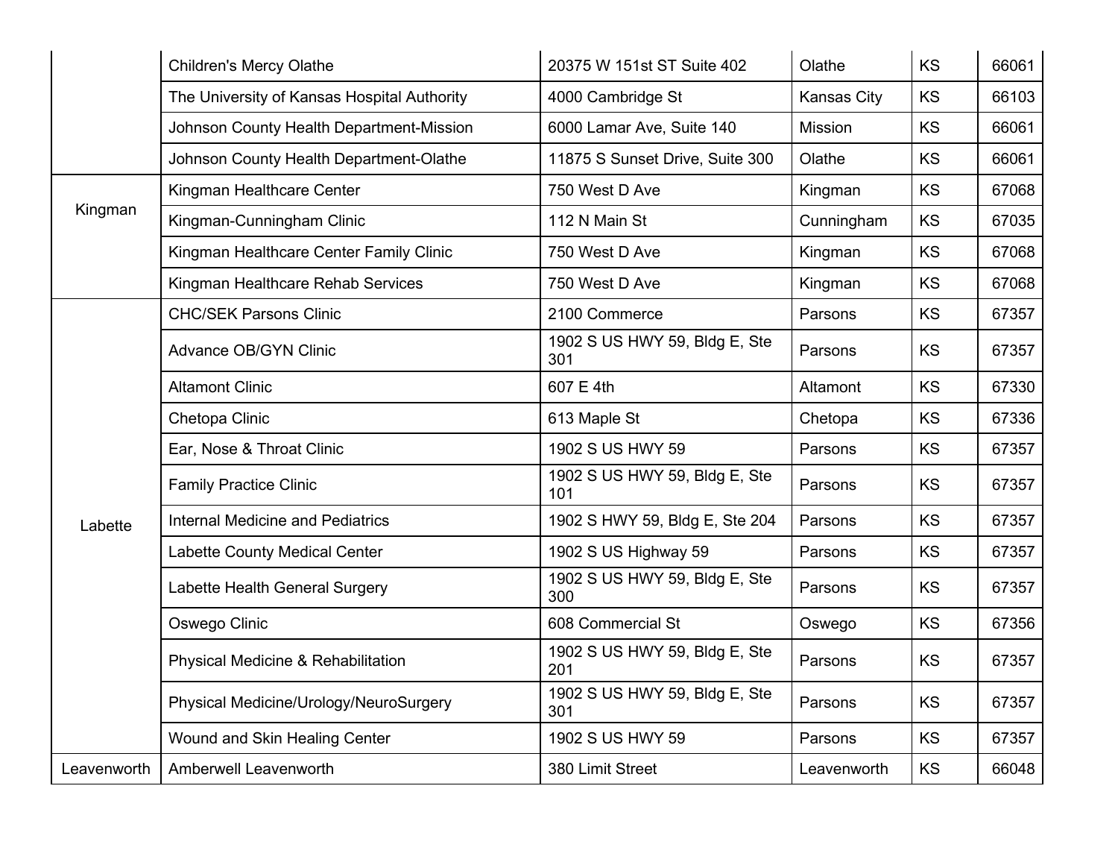|             | <b>Children's Mercy Olathe</b>              | 20375 W 151st ST Suite 402           | Olathe      | KS        | 66061 |
|-------------|---------------------------------------------|--------------------------------------|-------------|-----------|-------|
|             | The University of Kansas Hospital Authority | 4000 Cambridge St                    | Kansas City | <b>KS</b> | 66103 |
|             | Johnson County Health Department-Mission    | 6000 Lamar Ave, Suite 140            | Mission     | KS        | 66061 |
|             | Johnson County Health Department-Olathe     | 11875 S Sunset Drive, Suite 300      | Olathe      | <b>KS</b> | 66061 |
|             | Kingman Healthcare Center                   | 750 West D Ave                       | Kingman     | <b>KS</b> | 67068 |
| Kingman     | Kingman-Cunningham Clinic                   | 112 N Main St                        | Cunningham  | <b>KS</b> | 67035 |
|             | Kingman Healthcare Center Family Clinic     | 750 West D Ave                       | Kingman     | <b>KS</b> | 67068 |
|             | Kingman Healthcare Rehab Services           | 750 West D Ave                       | Kingman     | KS        | 67068 |
|             | <b>CHC/SEK Parsons Clinic</b>               | 2100 Commerce                        | Parsons     | KS        | 67357 |
|             | Advance OB/GYN Clinic                       | 1902 S US HWY 59, Bldg E, Ste<br>301 | Parsons     | <b>KS</b> | 67357 |
|             | <b>Altamont Clinic</b>                      | 607 E 4th                            | Altamont    | <b>KS</b> | 67330 |
|             | Chetopa Clinic                              | 613 Maple St                         | Chetopa     | <b>KS</b> | 67336 |
|             | Ear, Nose & Throat Clinic                   | 1902 S US HWY 59                     | Parsons     | <b>KS</b> | 67357 |
|             | <b>Family Practice Clinic</b>               | 1902 S US HWY 59, Bldg E, Ste<br>101 | Parsons     | KS        | 67357 |
| Labette     | <b>Internal Medicine and Pediatrics</b>     | 1902 S HWY 59, Bldg E, Ste 204       | Parsons     | KS        | 67357 |
|             | Labette County Medical Center               | 1902 S US Highway 59                 | Parsons     | KS        | 67357 |
|             | Labette Health General Surgery              | 1902 S US HWY 59, Bldg E, Ste<br>300 | Parsons     | KS        | 67357 |
|             | Oswego Clinic                               | 608 Commercial St                    | Oswego      | KS        | 67356 |
|             | Physical Medicine & Rehabilitation          | 1902 S US HWY 59, Bldg E, Ste<br>201 | Parsons     | <b>KS</b> | 67357 |
|             | Physical Medicine/Urology/NeuroSurgery      | 1902 S US HWY 59, Bldg E, Ste<br>301 | Parsons     | KS        | 67357 |
|             | Wound and Skin Healing Center               | 1902 S US HWY 59                     | Parsons     | KS        | 67357 |
| Leavenworth | Amberwell Leavenworth                       | 380 Limit Street                     | Leavenworth | KS        | 66048 |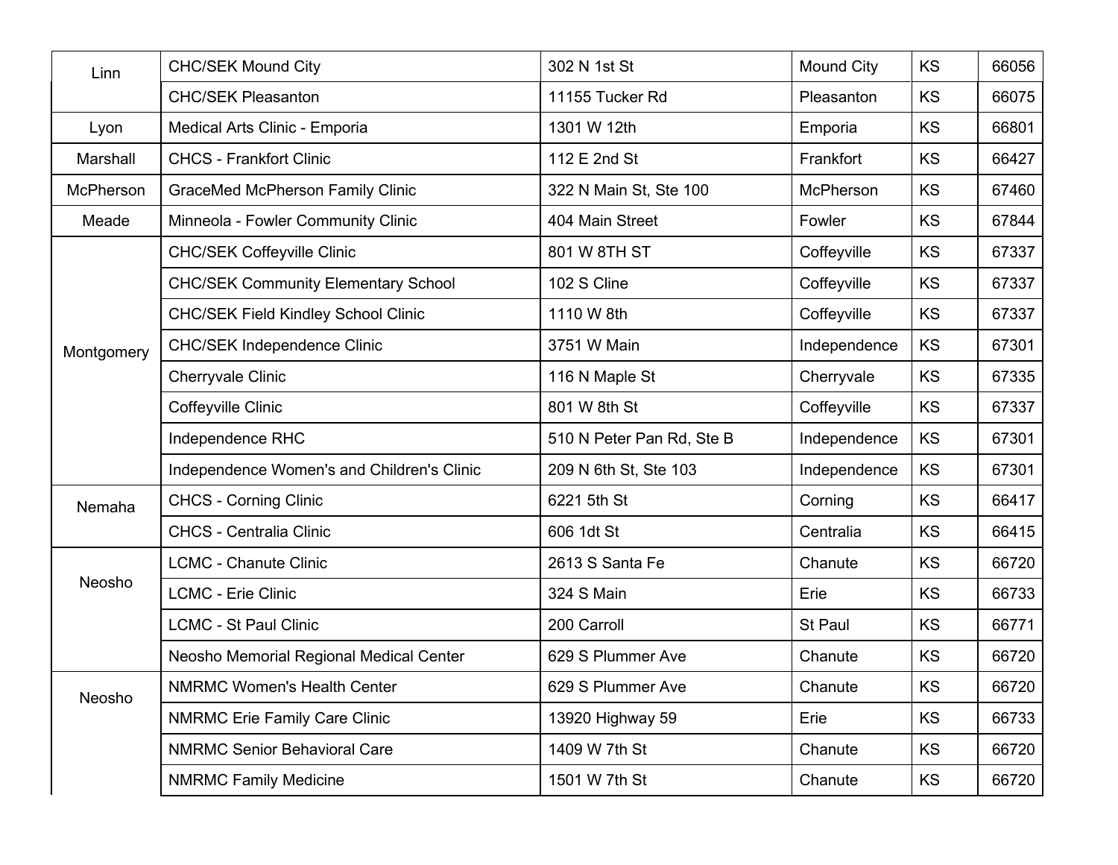| Linn             | <b>CHC/SEK Mound City</b>                  | 302 N 1st St              | <b>Mound City</b> | KS        | 66056 |
|------------------|--------------------------------------------|---------------------------|-------------------|-----------|-------|
|                  | <b>CHC/SEK Pleasanton</b>                  | 11155 Tucker Rd           | Pleasanton        | KS        | 66075 |
| Lyon             | Medical Arts Clinic - Emporia              | 1301 W 12th               | Emporia           | KS        | 66801 |
| Marshall         | <b>CHCS - Frankfort Clinic</b>             | 112 E 2nd St              | Frankfort         | KS        | 66427 |
| <b>McPherson</b> | <b>GraceMed McPherson Family Clinic</b>    | 322 N Main St, Ste 100    | <b>McPherson</b>  | KS        | 67460 |
| Meade            | Minneola - Fowler Community Clinic         | 404 Main Street           | Fowler            | KS        | 67844 |
|                  | <b>CHC/SEK Coffeyville Clinic</b>          | 801 W 8TH ST              | Coffeyville       | KS        | 67337 |
|                  | <b>CHC/SEK Community Elementary School</b> | 102 S Cline               | Coffeyville       | KS        | 67337 |
|                  | <b>CHC/SEK Field Kindley School Clinic</b> | 1110 W 8th                | Coffeyville       | KS        | 67337 |
| Montgomery       | <b>CHC/SEK Independence Clinic</b>         | 3751 W Main               | Independence      | KS        | 67301 |
|                  | <b>Cherryvale Clinic</b>                   | 116 N Maple St            | Cherryvale        | KS        | 67335 |
|                  | Coffeyville Clinic                         | 801 W 8th St              | Coffeyville       | KS        | 67337 |
|                  | Independence RHC                           | 510 N Peter Pan Rd, Ste B | Independence      | KS        | 67301 |
|                  | Independence Women's and Children's Clinic | 209 N 6th St, Ste 103     | Independence      | KS        | 67301 |
| Nemaha           | <b>CHCS - Corning Clinic</b>               | 6221 5th St               | Corning           | KS        | 66417 |
|                  | <b>CHCS - Centralia Clinic</b>             | 606 1dt St                | Centralia         | KS        | 66415 |
|                  | <b>LCMC - Chanute Clinic</b>               | 2613 S Santa Fe           | Chanute           | KS        | 66720 |
| Neosho           | <b>LCMC - Erie Clinic</b>                  | 324 S Main                | Erie              | KS        | 66733 |
|                  | <b>LCMC - St Paul Clinic</b>               | 200 Carroll               | St Paul           | KS        | 66771 |
|                  | Neosho Memorial Regional Medical Center    | 629 S Plummer Ave         | Chanute           | KS        | 66720 |
| Neosho           | NMRMC Women's Health Center                | 629 S Plummer Ave         | Chanute           | KS        | 66720 |
|                  | <b>NMRMC Erie Family Care Clinic</b>       | 13920 Highway 59          | Erie              | <b>KS</b> | 66733 |
|                  | <b>NMRMC Senior Behavioral Care</b>        | 1409 W 7th St             | Chanute           | KS        | 66720 |
|                  | <b>NMRMC Family Medicine</b>               | 1501 W 7th St             | Chanute           | KS        | 66720 |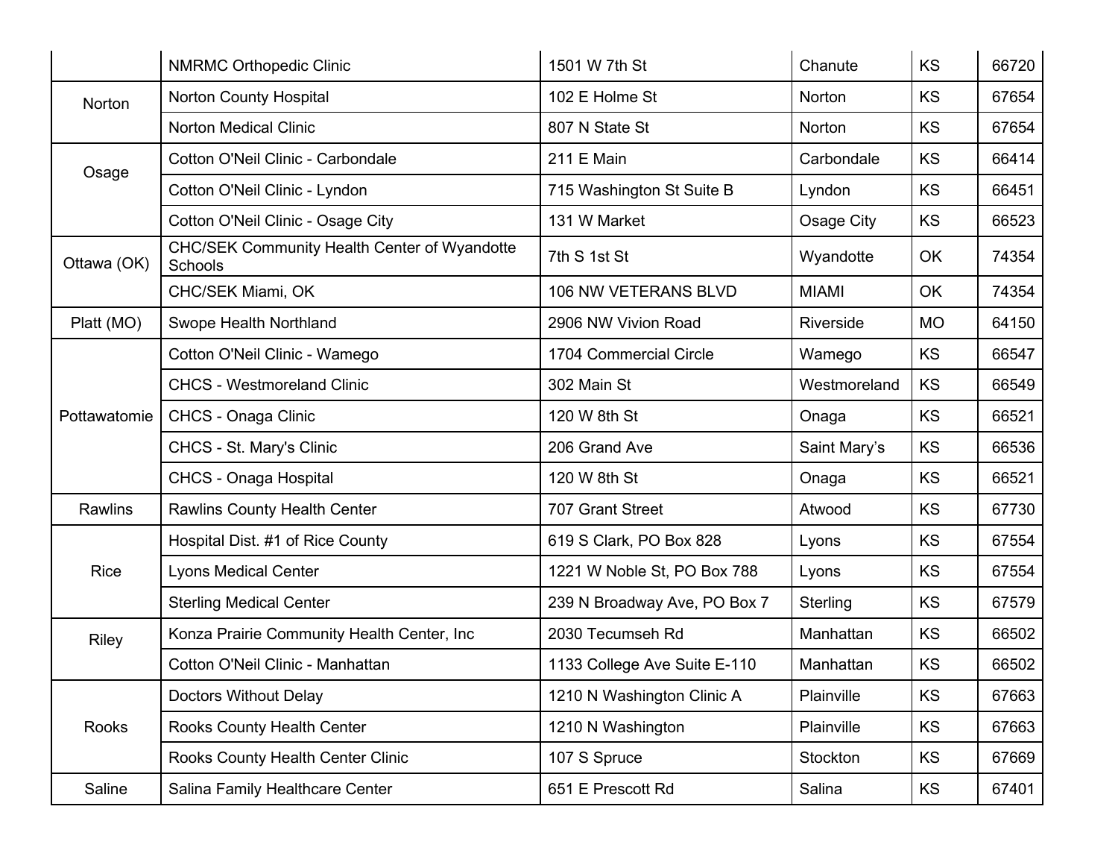|              | <b>NMRMC Orthopedic Clinic</b>                                 | 1501 W 7th St                | Chanute      | KS        | 66720 |
|--------------|----------------------------------------------------------------|------------------------------|--------------|-----------|-------|
| Norton       | <b>Norton County Hospital</b>                                  | 102 E Holme St               | Norton       | <b>KS</b> | 67654 |
|              | <b>Norton Medical Clinic</b>                                   | 807 N State St               | Norton       | <b>KS</b> | 67654 |
| Osage        | Cotton O'Neil Clinic - Carbondale                              | 211 E Main                   | Carbondale   | KS        | 66414 |
|              | Cotton O'Neil Clinic - Lyndon                                  | 715 Washington St Suite B    | Lyndon       | KS        | 66451 |
|              | Cotton O'Neil Clinic - Osage City                              | 131 W Market                 | Osage City   | KS        | 66523 |
| Ottawa (OK)  | <b>CHC/SEK Community Health Center of Wyandotte</b><br>Schools | 7th S 1st St                 | Wyandotte    | OK        | 74354 |
|              | CHC/SEK Miami, OK                                              | 106 NW VETERANS BLVD         | <b>MIAMI</b> | OK        | 74354 |
| Platt (MO)   | Swope Health Northland                                         | 2906 NW Vivion Road          | Riverside    | <b>MO</b> | 64150 |
|              | Cotton O'Neil Clinic - Wamego                                  | 1704 Commercial Circle       | Wamego       | KS        | 66547 |
|              | <b>CHCS - Westmoreland Clinic</b>                              | 302 Main St                  | Westmoreland | <b>KS</b> | 66549 |
| Pottawatomie | CHCS - Onaga Clinic                                            | 120 W 8th St                 | Onaga        | KS        | 66521 |
|              | CHCS - St. Mary's Clinic                                       | 206 Grand Ave                | Saint Mary's | KS        | 66536 |
|              | <b>CHCS - Onaga Hospital</b>                                   | 120 W 8th St                 | Onaga        | <b>KS</b> | 66521 |
| Rawlins      | <b>Rawlins County Health Center</b>                            | 707 Grant Street             | Atwood       | <b>KS</b> | 67730 |
|              | Hospital Dist. #1 of Rice County                               | 619 S Clark, PO Box 828      | Lyons        | KS        | 67554 |
| <b>Rice</b>  | <b>Lyons Medical Center</b>                                    | 1221 W Noble St, PO Box 788  | Lyons        | KS        | 67554 |
|              | <b>Sterling Medical Center</b>                                 | 239 N Broadway Ave, PO Box 7 | Sterling     | KS        | 67579 |
| <b>Riley</b> | Konza Prairie Community Health Center, Inc                     | 2030 Tecumseh Rd             | Manhattan    | <b>KS</b> | 66502 |
|              | Cotton O'Neil Clinic - Manhattan                               | 1133 College Ave Suite E-110 | Manhattan    | KS        | 66502 |
|              | <b>Doctors Without Delay</b>                                   | 1210 N Washington Clinic A   | Plainville   | KS        | 67663 |
| Rooks        | Rooks County Health Center                                     | 1210 N Washington            | Plainville   | KS        | 67663 |
|              | Rooks County Health Center Clinic                              | 107 S Spruce                 | Stockton     | <b>KS</b> | 67669 |
| Saline       | Salina Family Healthcare Center                                | 651 E Prescott Rd            | Salina       | <b>KS</b> | 67401 |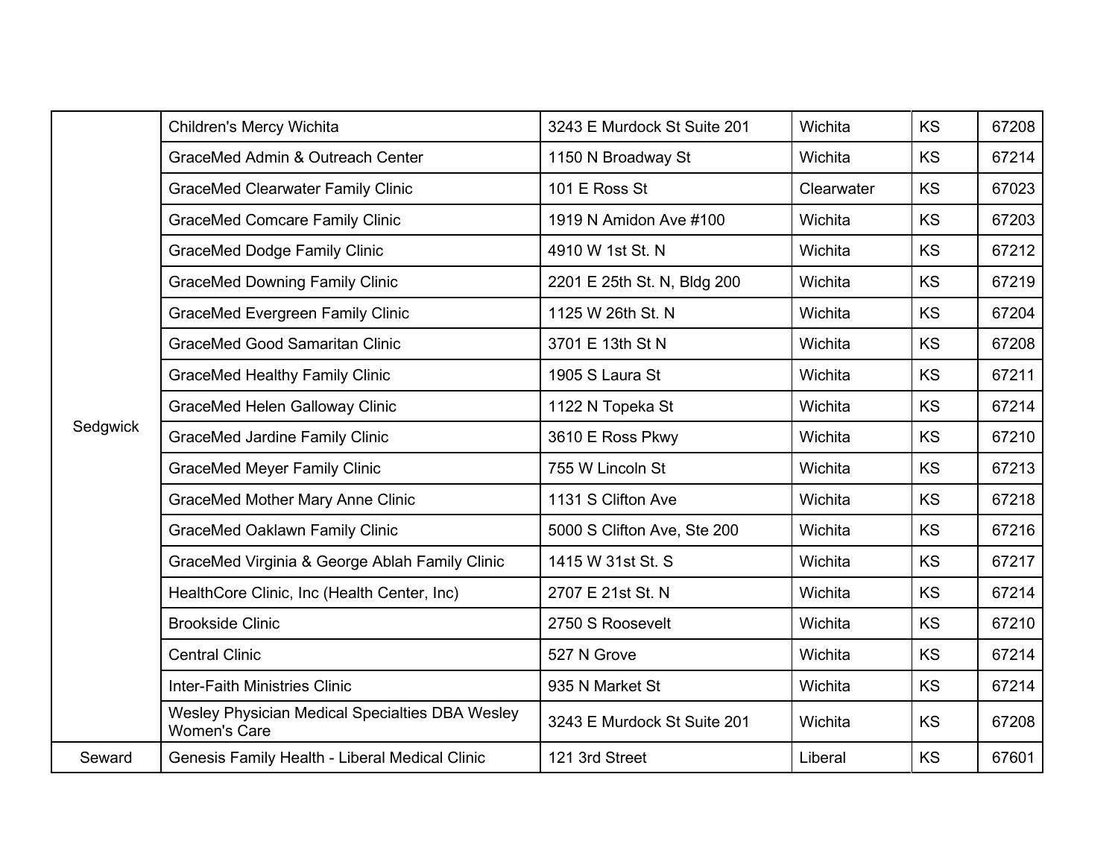|          | Children's Mercy Wichita                                               | 3243 E Murdock St Suite 201 | Wichita    | <b>KS</b> | 67208 |
|----------|------------------------------------------------------------------------|-----------------------------|------------|-----------|-------|
|          | GraceMed Admin & Outreach Center                                       | 1150 N Broadway St          | Wichita    | <b>KS</b> | 67214 |
|          | <b>GraceMed Clearwater Family Clinic</b>                               | 101 E Ross St               | Clearwater | <b>KS</b> | 67023 |
|          | <b>GraceMed Comcare Family Clinic</b>                                  | 1919 N Amidon Ave #100      | Wichita    | <b>KS</b> | 67203 |
|          | <b>GraceMed Dodge Family Clinic</b>                                    | 4910 W 1st St. N            | Wichita    | <b>KS</b> | 67212 |
|          | <b>GraceMed Downing Family Clinic</b>                                  | 2201 E 25th St. N, Bldg 200 | Wichita    | KS        | 67219 |
|          | <b>GraceMed Evergreen Family Clinic</b>                                | 1125 W 26th St. N           | Wichita    | KS        | 67204 |
|          | <b>GraceMed Good Samaritan Clinic</b>                                  | 3701 E 13th St N            | Wichita    | <b>KS</b> | 67208 |
|          | <b>GraceMed Healthy Family Clinic</b>                                  | 1905 S Laura St             | Wichita    | KS        | 67211 |
|          | <b>GraceMed Helen Galloway Clinic</b>                                  | 1122 N Topeka St            | Wichita    | KS        | 67214 |
| Sedgwick | <b>GraceMed Jardine Family Clinic</b>                                  | 3610 E Ross Pkwy            | Wichita    | KS        | 67210 |
|          | <b>GraceMed Meyer Family Clinic</b>                                    | 755 W Lincoln St            | Wichita    | KS        | 67213 |
|          | <b>GraceMed Mother Mary Anne Clinic</b>                                | 1131 S Clifton Ave          | Wichita    | <b>KS</b> | 67218 |
|          | <b>GraceMed Oaklawn Family Clinic</b>                                  | 5000 S Clifton Ave, Ste 200 | Wichita    | KS        | 67216 |
|          | GraceMed Virginia & George Ablah Family Clinic                         | 1415 W 31st St. S           | Wichita    | KS        | 67217 |
|          | HealthCore Clinic, Inc (Health Center, Inc)                            | 2707 E 21st St. N           | Wichita    | <b>KS</b> | 67214 |
|          | <b>Brookside Clinic</b>                                                | 2750 S Roosevelt            | Wichita    | <b>KS</b> | 67210 |
|          | <b>Central Clinic</b>                                                  | 527 N Grove                 | Wichita    | KS        | 67214 |
|          | <b>Inter-Faith Ministries Clinic</b>                                   | 935 N Market St             | Wichita    | KS        | 67214 |
|          | Wesley Physician Medical Specialties DBA Wesley<br><b>Women's Care</b> | 3243 E Murdock St Suite 201 | Wichita    | KS        | 67208 |
| Seward   | Genesis Family Health - Liberal Medical Clinic                         | 121 3rd Street              | Liberal    | KS        | 67601 |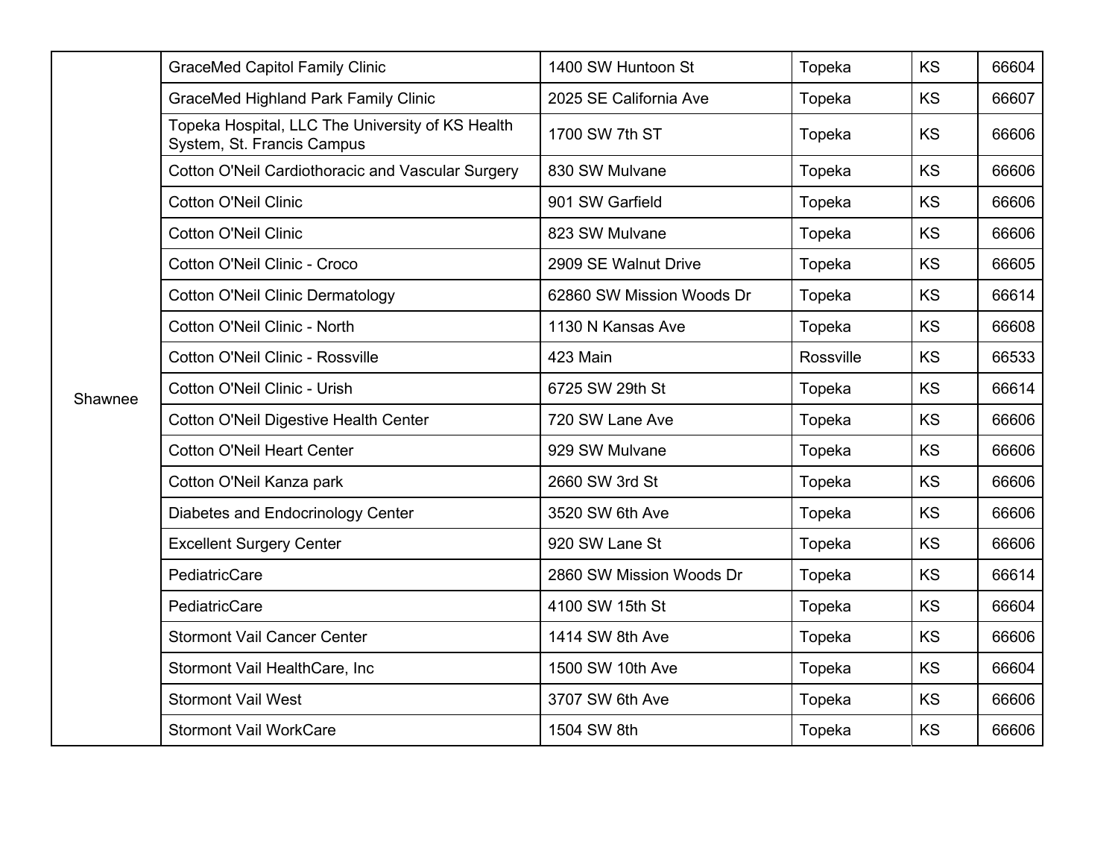|         | <b>GraceMed Capitol Family Clinic</b>                                          | 1400 SW Huntoon St        | Topeka    | KS        | 66604 |
|---------|--------------------------------------------------------------------------------|---------------------------|-----------|-----------|-------|
|         | <b>GraceMed Highland Park Family Clinic</b>                                    | 2025 SE California Ave    | Topeka    | KS        | 66607 |
|         | Topeka Hospital, LLC The University of KS Health<br>System, St. Francis Campus | 1700 SW 7th ST            | Topeka    | KS        | 66606 |
|         | Cotton O'Neil Cardiothoracic and Vascular Surgery                              | 830 SW Mulvane            | Topeka    | <b>KS</b> | 66606 |
|         | <b>Cotton O'Neil Clinic</b>                                                    | 901 SW Garfield           | Topeka    | <b>KS</b> | 66606 |
|         | <b>Cotton O'Neil Clinic</b>                                                    | 823 SW Mulvane            | Topeka    | <b>KS</b> | 66606 |
|         | Cotton O'Neil Clinic - Croco                                                   | 2909 SE Walnut Drive      | Topeka    | KS        | 66605 |
|         | <b>Cotton O'Neil Clinic Dermatology</b>                                        | 62860 SW Mission Woods Dr | Topeka    | KS        | 66614 |
|         | Cotton O'Neil Clinic - North                                                   | 1130 N Kansas Ave         | Topeka    | <b>KS</b> | 66608 |
|         | Cotton O'Neil Clinic - Rossville                                               | 423 Main                  | Rossville | KS        | 66533 |
| Shawnee | Cotton O'Neil Clinic - Urish                                                   | 6725 SW 29th St           | Topeka    | <b>KS</b> | 66614 |
|         | <b>Cotton O'Neil Digestive Health Center</b>                                   | 720 SW Lane Ave           | Topeka    | <b>KS</b> | 66606 |
|         | <b>Cotton O'Neil Heart Center</b>                                              | 929 SW Mulvane            | Topeka    | KS        | 66606 |
|         | Cotton O'Neil Kanza park                                                       | 2660 SW 3rd St            | Topeka    | <b>KS</b> | 66606 |
|         | Diabetes and Endocrinology Center                                              | 3520 SW 6th Ave           | Topeka    | KS        | 66606 |
|         | <b>Excellent Surgery Center</b>                                                | 920 SW Lane St            | Topeka    | KS        | 66606 |
|         | PediatricCare                                                                  | 2860 SW Mission Woods Dr  | Topeka    | KS        | 66614 |
|         | PediatricCare                                                                  | 4100 SW 15th St           | Topeka    | <b>KS</b> | 66604 |
|         | <b>Stormont Vail Cancer Center</b>                                             | 1414 SW 8th Ave           | Topeka    | KS        | 66606 |
|         | Stormont Vail HealthCare, Inc.                                                 | 1500 SW 10th Ave          | Topeka    | KS        | 66604 |
|         | <b>Stormont Vail West</b>                                                      | 3707 SW 6th Ave           | Topeka    | <b>KS</b> | 66606 |
|         | <b>Stormont Vail WorkCare</b>                                                  | 1504 SW 8th               | Topeka    | KS        | 66606 |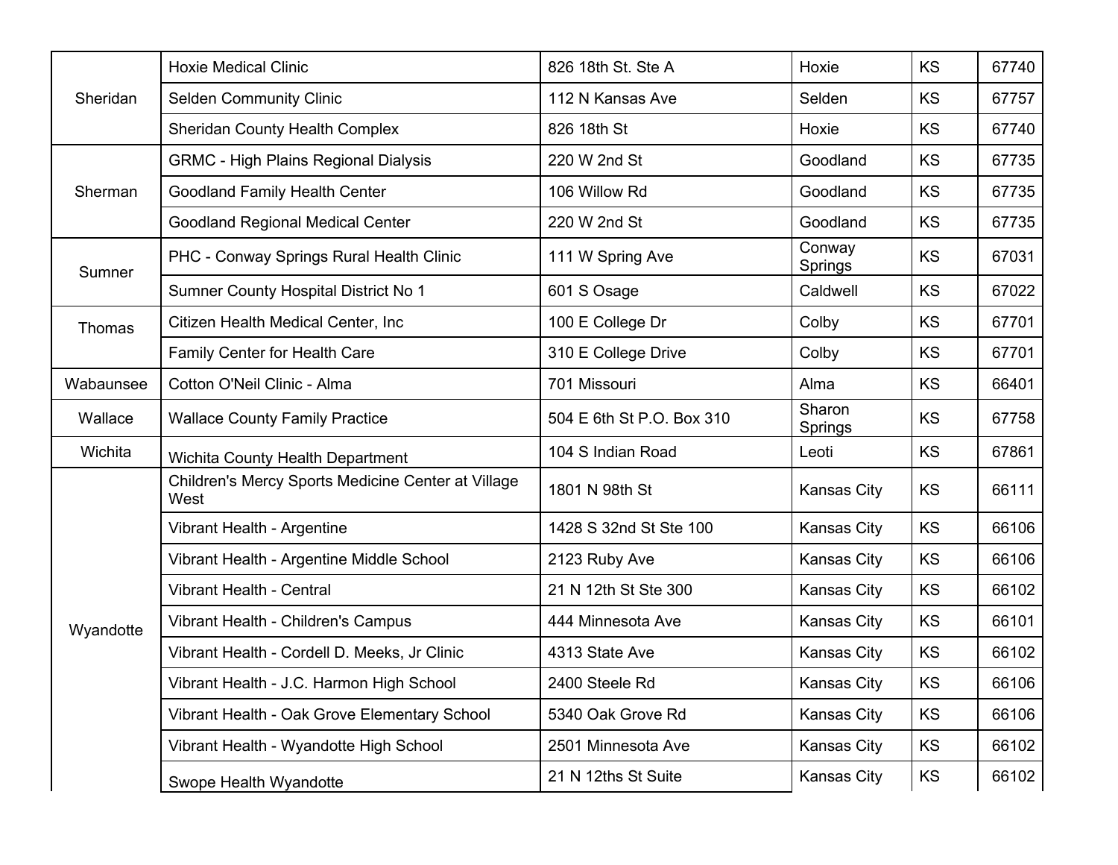| Sheridan  | <b>Hoxie Medical Clinic</b>                                | 826 18th St. Ste A        | Hoxie                    | <b>KS</b> | 67740 |
|-----------|------------------------------------------------------------|---------------------------|--------------------------|-----------|-------|
|           | <b>Selden Community Clinic</b>                             | 112 N Kansas Ave          | Selden                   | <b>KS</b> | 67757 |
|           | <b>Sheridan County Health Complex</b>                      | 826 18th St               | Hoxie                    | KS        | 67740 |
|           | <b>GRMC - High Plains Regional Dialysis</b>                | 220 W 2nd St              | Goodland                 | <b>KS</b> | 67735 |
| Sherman   | <b>Goodland Family Health Center</b>                       | 106 Willow Rd             | Goodland                 | <b>KS</b> | 67735 |
|           | <b>Goodland Regional Medical Center</b>                    | 220 W 2nd St              | Goodland                 | KS        | 67735 |
| Sumner    | PHC - Conway Springs Rural Health Clinic                   | 111 W Spring Ave          | Conway<br>Springs        | KS        | 67031 |
|           | Sumner County Hospital District No 1                       | 601 S Osage               | Caldwell                 | KS        | 67022 |
| Thomas    | Citizen Health Medical Center, Inc                         | 100 E College Dr          | Colby                    | <b>KS</b> | 67701 |
|           | Family Center for Health Care                              | 310 E College Drive       | Colby                    | <b>KS</b> | 67701 |
| Wabaunsee | Cotton O'Neil Clinic - Alma                                | 701 Missouri              | Alma                     | KS        | 66401 |
| Wallace   | <b>Wallace County Family Practice</b>                      | 504 E 6th St P.O. Box 310 | Sharon<br><b>Springs</b> | KS        | 67758 |
| Wichita   | <b>Wichita County Health Department</b>                    | 104 S Indian Road         | Leoti                    | KS        | 67861 |
|           | Children's Mercy Sports Medicine Center at Village<br>West | 1801 N 98th St            | Kansas City              | <b>KS</b> | 66111 |
|           | Vibrant Health - Argentine                                 | 1428 S 32nd St Ste 100    | Kansas City              | KS        | 66106 |
|           | Vibrant Health - Argentine Middle School                   | 2123 Ruby Ave             | Kansas City              | KS        | 66106 |
|           | <b>Vibrant Health - Central</b>                            | 21 N 12th St Ste 300      | Kansas City              | KS        | 66102 |
| Wyandotte | Vibrant Health - Children's Campus                         | 444 Minnesota Ave         | <b>Kansas City</b>       | <b>KS</b> | 66101 |
|           | Vibrant Health - Cordell D. Meeks, Jr Clinic               | 4313 State Ave            | Kansas City              | <b>KS</b> | 66102 |
|           | Vibrant Health - J.C. Harmon High School                   | 2400 Steele Rd            | Kansas City              | KS        | 66106 |
|           | Vibrant Health - Oak Grove Elementary School               | 5340 Oak Grove Rd         | Kansas City              | <b>KS</b> | 66106 |
|           | Vibrant Health - Wyandotte High School                     | 2501 Minnesota Ave        | Kansas City              | KS        | 66102 |
|           | Swope Health Wyandotte                                     | 21 N 12ths St Suite       | Kansas City              | KS        | 66102 |